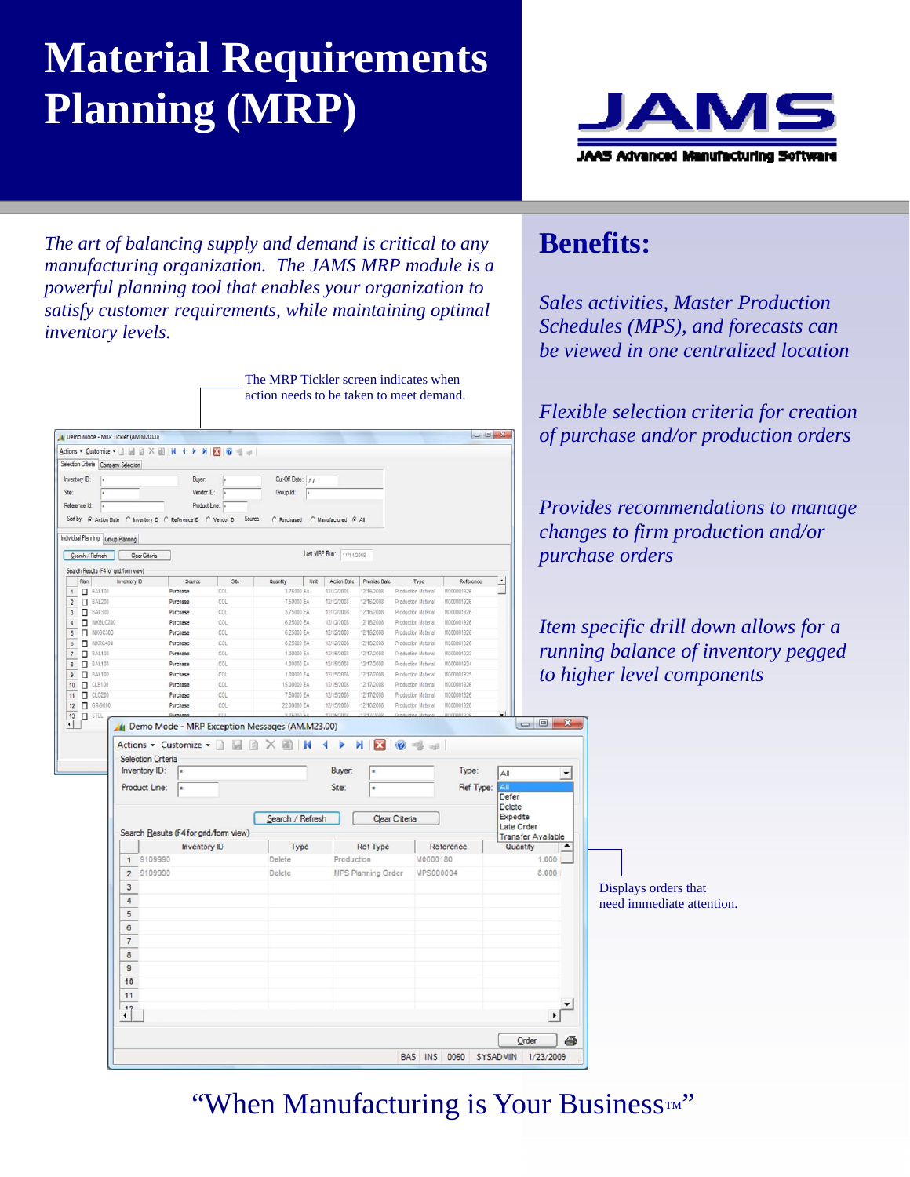## **Material Requirements Planning (MRP)**



*Sales activities, Master Production Schedules (MPS), and forecasts can be viewed in one centralized location* 

**Benefits:** 

*The art of balancing supply and demand is critical to any manufacturing organization. The JAMS MRP module is a powerful planning tool that enables your organization to satisfy customer requirements, while maintaining optimal inventory levels.* 

|                                                                                            |                                                               |                      |                    | The MRP Tickler screen indicates when                                                                                                            |                                     |                            |                                            |                          |                        |                                          |
|--------------------------------------------------------------------------------------------|---------------------------------------------------------------|----------------------|--------------------|--------------------------------------------------------------------------------------------------------------------------------------------------|-------------------------------------|----------------------------|--------------------------------------------|--------------------------|------------------------|------------------------------------------|
|                                                                                            |                                                               |                      |                    | action needs to be taken to meet demand.                                                                                                         |                                     |                            |                                            |                          |                        |                                          |
|                                                                                            |                                                               |                      |                    |                                                                                                                                                  |                                     |                            |                                            |                          |                        | Flexible selection criteria for creation |
|                                                                                            | Demo Mode - MRP Tickler (AM.M20.00)                           |                      |                    |                                                                                                                                                  |                                     |                            |                                            |                          |                        | of purchase and/or production orders     |
|                                                                                            | tions • Customize • □ 圓 ② × 圖   K 	 ◆ ▶   2   ② 卷 』           |                      |                    |                                                                                                                                                  |                                     |                            |                                            |                          |                        |                                          |
| election Criteria Company Selection                                                        |                                                               |                      |                    |                                                                                                                                                  |                                     |                            |                                            |                          |                        |                                          |
| Inventory ID:                                                                              |                                                               | Buyer:               |                    | Cut-Off Date: //                                                                                                                                 |                                     |                            |                                            |                          |                        |                                          |
| Ste                                                                                        |                                                               | Vendor ID:           |                    | Group Id:                                                                                                                                        |                                     |                            |                                            |                          |                        |                                          |
| Reference Id:                                                                              |                                                               | Product Line:        |                    |                                                                                                                                                  |                                     |                            |                                            |                          |                        | Provides recommendations to manage       |
|                                                                                            | Sort by: G Action Date C Inventory D C Reference D C Vendor D |                      | Source:            | C Purchased C Manufactured G All                                                                                                                 |                                     |                            |                                            |                          |                        | changes to firm production and/or        |
| dividual Planning Group Planning                                                           |                                                               |                      |                    |                                                                                                                                                  |                                     |                            |                                            |                          |                        |                                          |
| Search / Refreeh                                                                           | Clear Criteria                                                |                      |                    |                                                                                                                                                  | Last MRP Run: 11/14/2008            |                            |                                            |                          |                        | <i>purchase orders</i>                   |
| Search Results (F4 for gnd/form view)                                                      |                                                               |                      |                    |                                                                                                                                                  |                                     |                            |                                            |                          |                        |                                          |
| Plan<br>1 <b>BAL100</b>                                                                    | <b>Inventory D</b>                                            | Source<br>Purchase   | <b>Site</b><br>COL | Unit<br>Quantity<br>3.75000 FA                                                                                                                   | Action Date<br>12/12/2008           | Promise Date<br>12/16/2002 | Type<br>Production Material                | Reference<br>11000001926 |                        |                                          |
| 2 <b>BAL200</b>                                                                            |                                                               | Purchase             | COL                | 7.50000 EA                                                                                                                                       | 12/12/2008                          | 12/16/2008                 | Production Material                        | M000001926               |                        |                                          |
| BAL300<br>3                                                                                |                                                               | Purchase             | COL                | 3.75000 EA                                                                                                                                       | 12/12/2008                          | 12/16/2008                 | Production Material                        | M000001926               |                        |                                          |
| NKBLC20<br>4                                                                               |                                                               | Purchase             | COL                | 6,25000 EA                                                                                                                                       | 12/12/2008                          | 12/16/2008                 | Production Material                        | 11000001926              |                        | Item specific drill down allows for a    |
| 5<br>NKGC300                                                                               |                                                               | Purchase             | COL                | 6,25000 EA                                                                                                                                       | 12/12/2008                          | 12/16/2008                 | Production Material                        | M00000192                |                        |                                          |
| NKRC400<br>$\mathbf 6$<br>BAL100<br>$\scriptstyle{7}$                                      |                                                               | Purchase<br>Purchase | COL<br>COL         | 6,25000 EA<br>1,00000 EA                                                                                                                         | 12/12/2008<br>12/15/2008            | 12/16/2008<br>12/17/2008   | Production Material<br>Production Material | M000001926<br>M000001923 |                        | running balance of inventory pegged      |
| 8 <b>BAL100</b>                                                                            |                                                               | Purchase             | COL                | 1.00000 FA                                                                                                                                       | 12/15/2008                          | 12/17/2008                 | Production Material                        | M000001924               |                        |                                          |
| 9 <b>0</b> BAL100                                                                          |                                                               | Purchase             | COL                | 1.00000 EA                                                                                                                                       | 12/15/2008                          | 12/17/2008                 | Production Material                        | M000001925               |                        | to higher level components               |
| $L$ CLB100<br>10                                                                           |                                                               | Purchase             | COL                | 15,00000 EA                                                                                                                                      | 12/15/2008                          | 12/17/2008                 | Production Material                        | M000001926               |                        |                                          |
| 11<br>CLCG200<br>12 O GR-9000                                                              |                                                               | Purchase<br>Purchase | COL<br>COL         | 7.50000 EA<br>22.00000 EA                                                                                                                        | 12/15/2008<br>12/15/2008            | 12/17/2008<br>12/16/2008   | Production Material<br>Production Material | 1000001926<br>M000001926 |                        |                                          |
| $\begin{array}{ c c } \hline \textbf{13} & \textbf{1} & \textbf{5} \text{TCL} \end{array}$ |                                                               | Purchase             |                    |                                                                                                                                                  |                                     | 12/17/2                    |                                            |                          |                        |                                          |
|                                                                                            | Selection Criteria<br>Inventory ID:                           |                      |                    | $\overline{A}$ ctions $\overline{\cdot}$ Customize $\overline{\cdot}$ $\overline{A}$ $\overline{A}$ $\overline{A}$ $\overline{B}$ $\overline{M}$ | $\blacktriangleleft$<br>Þ<br>Buyer: | N<br>23                    | $\odot$                                    | Type:                    | All                    | $\overline{\phantom{a}}$                 |
|                                                                                            | Product Line:                                                 |                      |                    |                                                                                                                                                  | Site:                               |                            |                                            | Ref Type:                | Defer<br><b>Delete</b> |                                          |
|                                                                                            |                                                               |                      |                    | Search / Refresh                                                                                                                                 |                                     |                            | <b>Clear Criteria</b>                      |                          |                        | Expedite                                 |
|                                                                                            | Search Results (F4 for grid/form view)                        |                      |                    |                                                                                                                                                  |                                     |                            |                                            |                          |                        | Late Order<br><b>Transfer Available</b>  |
|                                                                                            |                                                               | <b>Inventory ID</b>  |                    | Type                                                                                                                                             |                                     | <b>Ref</b> Type            |                                            | Reference                |                        | Quantity<br>$\blacktriangle$             |
|                                                                                            | 1 9109990                                                     |                      |                    | Delete                                                                                                                                           | Production                          |                            | M0000180                                   |                          |                        | 1.000                                    |
|                                                                                            | 2 9109990                                                     |                      |                    | Delete                                                                                                                                           |                                     | <b>MPS Planning Order</b>  | <b>MPS000004</b>                           |                          |                        | 8.000                                    |
|                                                                                            | 3                                                             |                      |                    |                                                                                                                                                  |                                     |                            |                                            |                          |                        | Displays orders that                     |
|                                                                                            | $\overline{4}$                                                |                      |                    |                                                                                                                                                  |                                     |                            |                                            |                          |                        | need immediate attention.                |
|                                                                                            | 5                                                             |                      |                    |                                                                                                                                                  |                                     |                            |                                            |                          |                        |                                          |
|                                                                                            | 6                                                             |                      |                    |                                                                                                                                                  |                                     |                            |                                            |                          |                        |                                          |
|                                                                                            | $\overline{7}$                                                |                      |                    |                                                                                                                                                  |                                     |                            |                                            |                          |                        |                                          |
|                                                                                            | $\bf{8}$                                                      |                      |                    |                                                                                                                                                  |                                     |                            |                                            |                          |                        |                                          |
|                                                                                            | $\mathbf{g}$                                                  |                      |                    |                                                                                                                                                  |                                     |                            |                                            |                          |                        |                                          |
|                                                                                            | 10                                                            |                      |                    |                                                                                                                                                  |                                     |                            |                                            |                          |                        |                                          |
|                                                                                            | 11                                                            |                      |                    |                                                                                                                                                  |                                     |                            |                                            |                          |                        |                                          |
|                                                                                            |                                                               |                      |                    |                                                                                                                                                  |                                     |                            |                                            |                          |                        | $\blacktriangledown$                     |
|                                                                                            | $\mathbf{1}$                                                  |                      |                    |                                                                                                                                                  |                                     |                            |                                            |                          |                        | $\blacktriangleright$                    |
|                                                                                            |                                                               |                      |                    |                                                                                                                                                  |                                     |                            |                                            |                          |                        |                                          |
|                                                                                            |                                                               |                      |                    |                                                                                                                                                  |                                     |                            |                                            |                          |                        | Order                                    |
|                                                                                            |                                                               |                      |                    |                                                                                                                                                  |                                     |                            |                                            |                          |                        | BAS INS 0060 SYSADMIN 1/23/2009          |

"When Manufacturing is Your Business*™* "